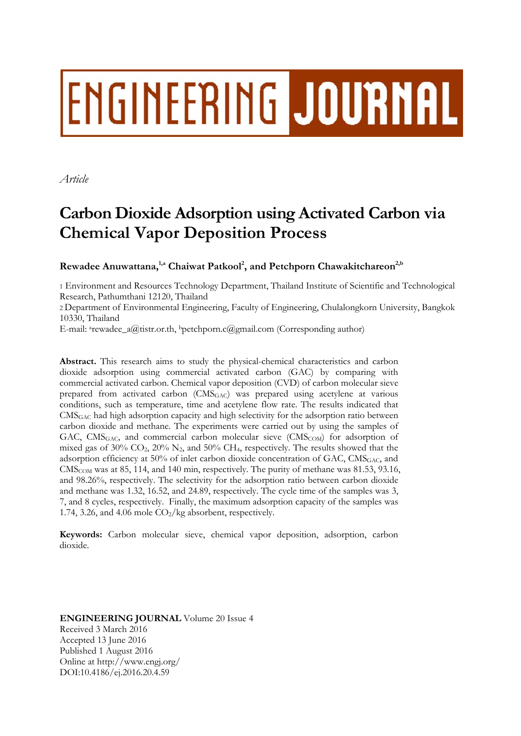# ENGINEERING JOURNAL

*Article* 

# **Carbon Dioxide Adsorption using Activated Carbon via Chemical Vapor Deposition Process**

Rewadee Anuwattana,<sup>1,a</sup> Chaiwat Patkool<sup>2</sup>, and Petchporn Chawakitchareon<sup>2,b</sup>

1 Environment and Resources Technology Department, Thailand Institute of Scientific and Technological Research, Pathumthani 12120, Thailand

2 Department of Environmental Engineering, Faculty of Engineering, Chulalongkorn University, Bangkok 10330, Thailand

E-mail: <sup>a</sup>rewadee\_a@tistr.or.th, bpetchporn.c@gmail.com (Corresponding author)

**Abstract.** This research aims to study the physical-chemical characteristics and carbon dioxide adsorption using commercial activated carbon (GAC) by comparing with commercial activated carbon. Chemical vapor deposition (CVD) of carbon molecular sieve prepared from activated carbon (CMSGAC) was prepared using acetylene at various conditions, such as temperature, time and acetylene flow rate. The results indicated that CMSGAC had high adsorption capacity and high selectivity for the adsorption ratio between carbon dioxide and methane. The experiments were carried out by using the samples of GAC, CMS<sub>GAC</sub>, and commercial carbon molecular sieve (CMS<sub>COM</sub>) for adsorption of mixed gas of 30%  $CO<sub>2</sub>$ , 20% N<sub>2</sub>, and 50% CH<sub>4</sub>, respectively. The results showed that the adsorption efficiency at 50% of inlet carbon dioxide concentration of GAC,  $\text{CMS}_{\text{GAC}}$  and CMSCOM was at 85, 114, and 140 min, respectively. The purity of methane was 81.53, 93.16, and 98.26%, respectively. The selectivity for the adsorption ratio between carbon dioxide and methane was 1.32, 16.52, and 24.89, respectively. The cycle time of the samples was 3, 7, and 8 cycles, respectively. Finally, the maximum adsorption capacity of the samples was 1.74, 3.26, and 4.06 mole  $CO_2/kg$  absorbent, respectively.

**Keywords:** Carbon molecular sieve, chemical vapor deposition, adsorption, carbon dioxide.

**ENGINEERING JOURNAL** Volume 20 Issue 4 Received 3 March 2016 Accepted 13 June 2016 Published 1 August 2016 Online at http://www.engj.org/ DOI:10.4186/ej.2016.20.4.59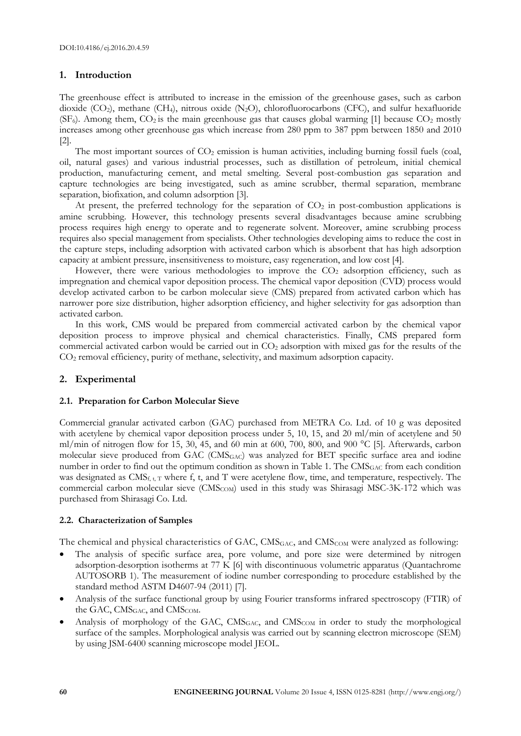# **1. Introduction**

The greenhouse effect is attributed to increase in the emission of the greenhouse gases, such as carbon dioxide (CO<sub>2</sub>), methane (CH<sub>4</sub>), nitrous oxide (N<sub>2</sub>O), chlorofluorocarbons (CFC), and sulfur hexafluoride ( $SF<sub>6</sub>$ ). Among them,  $CO<sub>2</sub>$  is the main greenhouse gas that causes global warming [1] because  $CO<sub>2</sub>$  mostly increases among other greenhouse gas which increase from 280 ppm to 387 ppm between 1850 and 2010 [2].

The most important sources of  $CO<sub>2</sub>$  emission is human activities, including burning fossil fuels (coal, oil, natural gases) and various industrial processes, such as distillation of petroleum, initial chemical production, manufacturing cement, and metal smelting. Several post-combustion gas separation and capture technologies are being investigated, such as amine scrubber, thermal separation, membrane separation, biofixation, and column adsorption [3].

At present, the preferred technology for the separation of  $CO<sub>2</sub>$  in post-combustion applications is amine scrubbing. However, this technology presents several disadvantages because amine scrubbing process requires high energy to operate and to regenerate solvent. Moreover, amine scrubbing process requires also special management from specialists. Other technologies developing aims to reduce the cost in the capture steps, including adsorption with activated carbon which is absorbent that has high adsorption capacity at ambient pressure, insensitiveness to moisture, easy regeneration, and low cost [4].

However, there were various methodologies to improve the  $CO<sub>2</sub>$  adsorption efficiency, such as impregnation and chemical vapor deposition process. The chemical vapor deposition (CVD) process would develop activated carbon to be carbon molecular sieve (CMS) prepared from activated carbon which has narrower pore size distribution, higher adsorption efficiency, and higher selectivity for gas adsorption than activated carbon.

In this work, CMS would be prepared from commercial activated carbon by the chemical vapor deposition process to improve physical and chemical characteristics. Finally, CMS prepared form commercial activated carbon would be carried out in CO2 adsorption with mixed gas for the results of the CO2 removal efficiency, purity of methane, selectivity, and maximum adsorption capacity.

# **2. Experimental**

# **2.1. Preparation for Carbon Molecular Sieve**

Commercial granular activated carbon (GAC) purchased from METRA Co. Ltd. of 10 g was deposited with acetylene by chemical vapor deposition process under 5, 10, 15, and 20 ml/min of acetylene and 50 ml/min of nitrogen flow for 15, 30, 45, and 60 min at 600, 700, 800, and 900 °C [5]. Afterwards, carbon molecular sieve produced from GAC (CMS<sub>GAC</sub>) was analyzed for BET specific surface area and iodine number in order to find out the optimum condition as shown in Table 1. The CMS<sub>GAC</sub> from each condition was designated as  $CMS_{f, t, T}$  where f, t, and T were acetylene flow, time, and temperature, respectively. The commercial carbon molecular sieve (CMS<sub>COM</sub>) used in this study was Shirasagi MSC-3K-172 which was purchased from Shirasagi Co. Ltd.

# **2.2. Characterization of Samples**

The chemical and physical characteristics of GAC, CMS<sub>GAC</sub>, and CMS<sub>COM</sub> were analyzed as following:

- The analysis of specific surface area, pore volume, and pore size were determined by nitrogen adsorption-desorption isotherms at 77 K [6] with discontinuous volumetric apparatus (Quantachrome AUTOSORB 1). The measurement of iodine number corresponding to procedure established by the standard method ASTM D4607-94 (2011) [7].
- Analysis of the surface functional group by using Fourier transforms infrared spectroscopy (FTIR) of the GAC,  $CMS<sub>GAC</sub>$ , and  $CMS<sub>COM</sub>$ .
- Analysis of morphology of the GAC, CMS<sub>GAC</sub>, and CMS<sub>COM</sub> in order to study the morphological surface of the samples. Morphological analysis was carried out by scanning electron microscope (SEM) by using JSM-6400 scanning microscope model JEOL.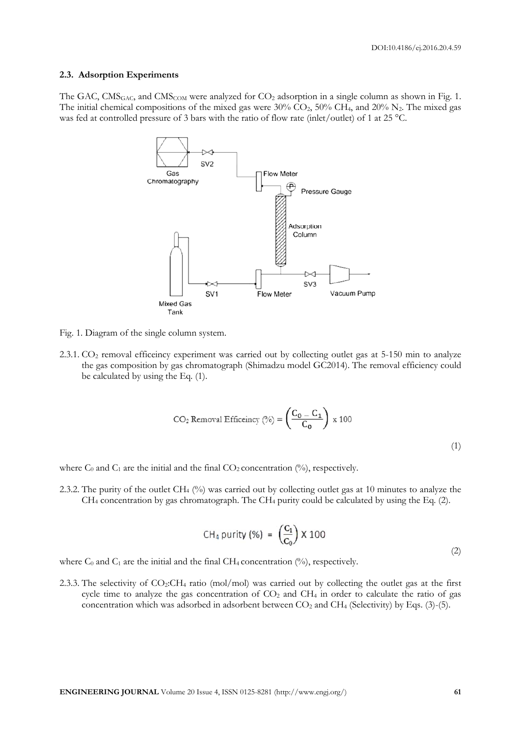#### **2.3. Adsorption Experiments**

The GAC, CMS<sub>GAC</sub>, and CMS<sub>COM</sub> were analyzed for CO<sub>2</sub> adsorption in a single column as shown in Fig. 1. The initial chemical compositions of the mixed gas were  $30\%$  CO<sub>2</sub>,  $50\%$  CH<sub>4</sub>, and  $20\%$  N<sub>2</sub>. The mixed gas was fed at controlled pressure of 3 bars with the ratio of flow rate (inlet/outlet) of 1 at 25 °C.



Fig. 1. Diagram of the single column system.

2.3.1. CO<sub>2</sub> removal efficeincy experiment was carried out by collecting outlet gas at 5-150 min to analyze the gas composition by gas chromatograph (Shimadzu model GC2014). The removal efficiency could be calculated by using the Eq. (1).

$$
CO2 Removal Efficiency (%) = \left(\frac{C_0 - C_1}{C_0}\right) \times 100
$$
 (1)

where  $C_0$  and  $C_1$  are the initial and the final  $CO_2$  concentration (%), respectively.

2.3.2. The purity of the outlet CH4 (%) was carried out by collecting outlet gas at 10 minutes to analyze the CH4 concentration by gas chromatograph. The CH4 purity could be calculated by using the Eq. (2).

$$
CH_4 \text{ purity } (\%) = \left(\frac{C_1}{C_0}\right) \times 100 \tag{2}
$$

where  $C_0$  and  $C_1$  are the initial and the final CH<sub>4</sub> concentration  $\binom{0}{0}$ , respectively.

2.3.3. The selectivity of CO2:CH4 ratio (mol/mol) was carried out by collecting the outlet gas at the first cycle time to analyze the gas concentration of CO<sub>2</sub> and CH<sub>4</sub> in order to calculate the ratio of gas concentration which was adsorbed in adsorbent between  $CO<sub>2</sub>$  and CH<sub>4</sub> (Selectivity) by Eqs. (3)-(5).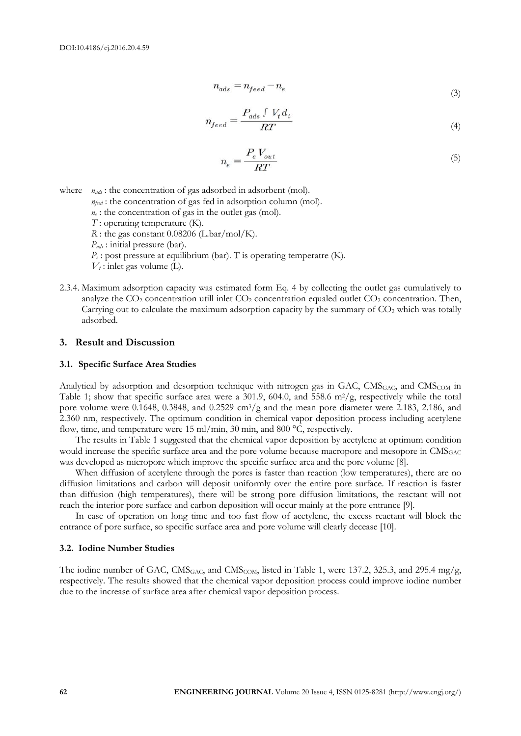$$
n_{ads} = n_{feed} - n_e \tag{3}
$$

$$
n_{feed} = \frac{P_{ads} \int V_t d_t}{RT} \tag{4}
$$

$$
n_e = \frac{P_e V_{out}}{RT} \tag{5}
$$

where  $n_{ads}$ : the concentration of gas adsorbed in adsorbent (mol).

 $n_{\text{feed}}$ : the concentration of gas fed in adsorption column (mol).

*ne* : the concentration of gas in the outlet gas (mol).

- *T* : operating temperature (K).
- *R* : the gas constant 0.08206 (L.bar/mol/K).

*Pads* : initial pressure (bar).

 $P_{\epsilon}$ : post pressure at equilibrium (bar). T is operating temperatre (K).

 $V_t$ : inlet gas volume (L).

2.3.4. Maximum adsorption capacity was estimated form Eq. 4 by collecting the outlet gas cumulatively to analyze the  $CO_2$  concentration utill inlet  $CO_2$  concentration equaled outlet  $CO_2$  concentration. Then, Carrying out to calculate the maximum adsorption capacity by the summary of  $CO<sub>2</sub>$  which was totally adsorbed.

#### **3. Result and Discussion**

#### **3.1. Specific Surface Area Studies**

Analytical by adsorption and desorption technique with nitrogen gas in GAC, CMS<sub>GAC</sub>, and CMS<sub>COM</sub> in Table 1; show that specific surface area were a 301.9, 604.0, and 558.6  $\text{m}^2/\text{g}$ , respectively while the total pore volume were 0.1648, 0.3848, and 0.2529 cm<sup>3</sup>/g and the mean pore diameter were 2.183, 2.186, and 2.360 nm, respectively. The optimum condition in chemical vapor deposition process including acetylene flow, time, and temperature were 15 ml/min, 30 min, and 800 °C, respectively.

The results in Table 1 suggested that the chemical vapor deposition by acetylene at optimum condition would increase the specific surface area and the pore volume because macropore and mesopore in CMS<sub>GAC</sub> was developed as micropore which improve the specific surface area and the pore volume [8].

When diffusion of acetylene through the pores is faster than reaction (low temperatures), there are no diffusion limitations and carbon will deposit uniformly over the entire pore surface. If reaction is faster than diffusion (high temperatures), there will be strong pore diffusion limitations, the reactant will not reach the interior pore surface and carbon deposition will occur mainly at the pore entrance [9].

In case of operation on long time and too fast flow of acetylene, the excess reactant will block the entrance of pore surface, so specific surface area and pore volume will clearly decease [10].

#### **3.2. Iodine Number Studies**

The iodine number of GAC,  $\text{CMS}_{GAC}$ , and  $\text{CMS}_{COM}$ , listed in Table 1, were 137.2, 325.3, and 295.4 mg/g, respectively. The results showed that the chemical vapor deposition process could improve iodine number due to the increase of surface area after chemical vapor deposition process.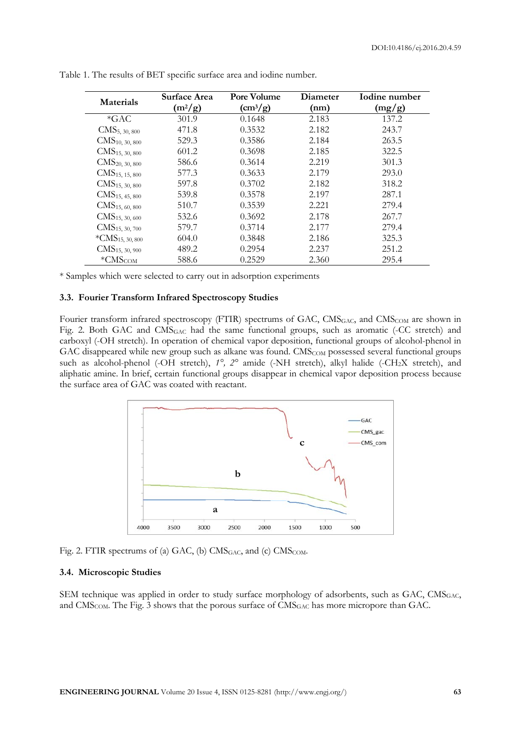| Materials                    | Surface Area<br>$(m^2/g)$ | Pore Volume<br>$\rm (cm^3/g)$ | Diameter<br>(nm) | Iodine number<br>(mg/g) |
|------------------------------|---------------------------|-------------------------------|------------------|-------------------------|
| $*GAC$                       | 301.9                     | 0.1648                        | 2.183            | 137.2                   |
| $CMS_{5, 30, 800}$           | 471.8                     | 0.3532                        | 2.182            | 243.7                   |
| CMS <sub>10, 30, 800</sub>   | 529.3                     | 0.3586                        | 2.184            | 263.5                   |
| CMS <sub>15, 30, 800</sub>   | 601.2                     | 0.3698                        | 2.185            | 322.5                   |
| CMS <sub>20</sub> , 30, 800  | 586.6                     | 0.3614                        | 2.219            | 301.3                   |
| CMS <sub>15, 15, 800</sub>   | 577.3                     | 0.3633                        | 2.179            | 293.0                   |
| CMS <sub>15, 30, 800</sub>   | 597.8                     | 0.3702                        | 2.182            | 318.2                   |
| CMS <sub>15, 45, 800</sub>   | 539.8                     | 0.3578                        | 2.197            | 287.1                   |
| CMS <sub>15, 60, 800</sub>   | 510.7                     | 0.3539                        | 2.221            | 279.4                   |
| CMS <sub>15, 30, 600</sub>   | 532.6                     | 0.3692                        | 2.178            | 267.7                   |
| CMS <sub>15, 30, 700</sub>   | 579.7                     | 0.3714                        | 2.177            | 279.4                   |
| *CMS <sub>15</sub> , 30, 800 | 604.0                     | 0.3848                        | 2.186            | 325.3                   |
| CMS <sub>15</sub> , 30, 900  | 489.2                     | 0.2954                        | 2.237            | 251.2                   |
| $\rm ^{*}CMS_{COM}$          | 588.6                     | 0.2529                        | 2.360            | 295.4                   |

Table 1. The results of BET specific surface area and iodine number.

\* Samples which were selected to carry out in adsorption experiments

#### **3.3. Fourier Transform Infrared Spectroscopy Studies**

Fourier transform infrared spectroscopy (FTIR) spectrums of GAC, CMS<sub>GAC</sub>, and CMS<sub>COM</sub> are shown in Fig. 2. Both GAC and CMSGAC had the same functional groups, such as aromatic (-CC stretch) and carboxyl (-OH stretch). In operation of chemical vapor deposition, functional groups of alcohol-phenol in GAC disappeared while new group such as alkane was found. CMS<sub>COM</sub> possessed several functional groups such as alcohol-phenol (-OH stretch),  $1^{\circ}$ ,  $2^{\circ}$  amide (-NH stretch), alkyl halide (-CH<sub>2</sub>X stretch), and aliphatic amine. In brief, certain functional groups disappear in chemical vapor deposition process because the surface area of GAC was coated with reactant.



Fig. 2. FTIR spectrums of (a) GAC, (b)  $CMS<sub>GAC</sub>$ , and (c)  $CMS<sub>COM</sub>$ .

#### **3.4. Microscopic Studies**

SEM technique was applied in order to study surface morphology of adsorbents, such as GAC, CMS<sub>GAC</sub>, and CMS<sub>COM</sub>. The Fig. 3 shows that the porous surface of CMS<sub>GAC</sub> has more micropore than GAC.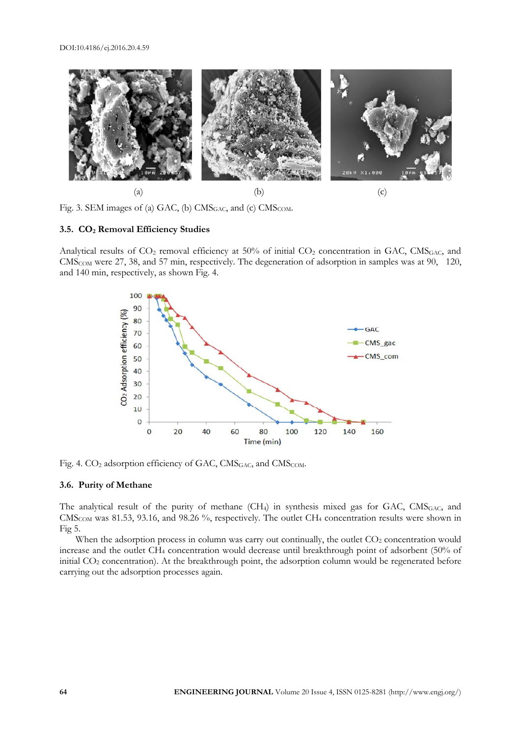

Fig. 3. SEM images of (a) GAC, (b)  $CMS<sub>GAC</sub>$ , and (c)  $CMS<sub>COM</sub>$ .

#### **3.5. CO2 Removal Efficiency Studies**

Analytical results of CO<sub>2</sub> removal efficiency at 50% of initial CO<sub>2</sub> concentration in GAC, CMS<sub>GAC</sub>, and CMSCOM were 27, 38, and 57 min, respectively. The degeneration of adsorption in samples was at 90, 120, and 140 min, respectively, as shown Fig. 4.



Fig. 4. CO<sub>2</sub> adsorption efficiency of GAC, CMS<sub>GAC</sub>, and CMS<sub>COM</sub>.

#### **3.6. Purity of Methane**

The analytical result of the purity of methane  $(CH_4)$  in synthesis mixed gas for GAC, CMS<sub>GAC</sub>, and CMS<sub>COM</sub> was 81.53, 93.16, and 98.26 %, respectively. The outlet CH<sub>4</sub> concentration results were shown in Fig 5.

When the adsorption process in column was carry out continually, the outlet CO<sub>2</sub> concentration would increase and the outlet CH4 concentration would decrease until breakthrough point of adsorbent (50% of initial CO2 concentration). At the breakthrough point, the adsorption column would be regenerated before carrying out the adsorption processes again.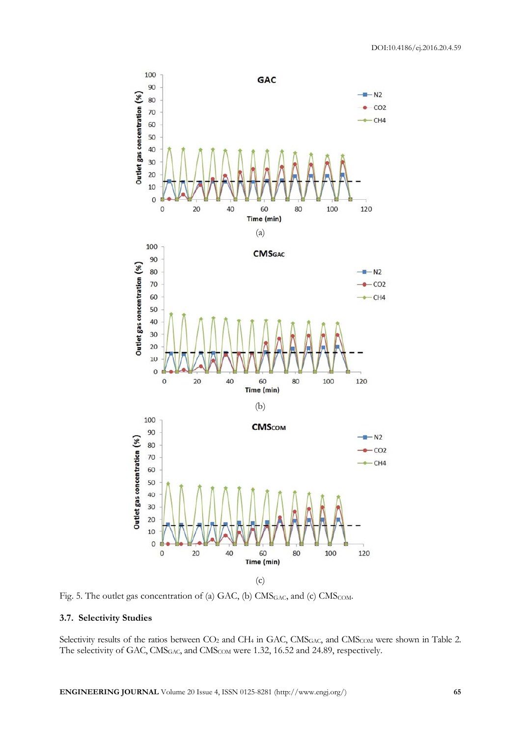

Fig. 5. The outlet gas concentration of (a) GAC, (b) CMS<sub>GAC</sub>, and (c) CMS<sub>COM</sub>.

# **3.7. Selectivity Studies**

Selectivity results of the ratios between  $CO_2$  and CH<sub>4</sub> in GAC, CMS<sub>GAC</sub>, and CMS<sub>COM</sub> were shown in Table 2. The selectivity of GAC, CMS<sub>GAC</sub>, and CMS<sub>COM</sub> were 1.32, 16.52 and 24.89, respectively.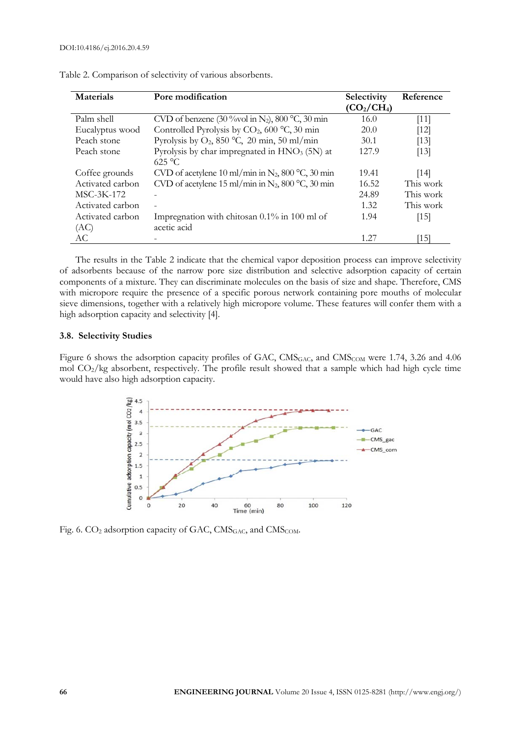| Materials        | Pore modification                                            | Selectivity                         | Reference          |
|------------------|--------------------------------------------------------------|-------------------------------------|--------------------|
|                  |                                                              | (CO <sub>2</sub> /CH <sub>4</sub> ) |                    |
| Palm shell       | CVD of benzene (30 % vol in N <sub>2</sub> ), 800 °C, 30 min | 16.0                                | $[11]$             |
| Eucalyptus wood  | Controlled Pyrolysis by $CO2$ , 600 °C, 30 min               | 20.0                                | $[12]$             |
| Peach stone      | Pyrolysis by $O_2$ , 850 °C, 20 min, 50 ml/min               | 30.1                                | $\lceil 13 \rceil$ |
| Peach stone      | Pyrolysis by char impregnated in HNO <sub>3</sub> (5N) at    | 127.9                               | $\lceil 13 \rceil$ |
|                  | $625 \text{ °C}$                                             |                                     |                    |
| Coffee grounds   | CVD of acetylene 10 ml/min in $N_2$ , 800 °C, 30 min         | 19.41                               | [14]               |
| Activated carbon | CVD of acetylene 15 ml/min in $N_2$ , 800 °C, 30 min         | 16.52                               | This work          |
| MSC-3K-172       |                                                              | 24.89                               | This work          |
| Activated carbon |                                                              | 1.32.                               | This work          |
| Activated carbon | Impregnation with chitosan $0.1\%$ in 100 ml of              | 1.94                                | [15]               |
| (AC)             | acetic acid                                                  |                                     |                    |
| AC               |                                                              | 1 27                                | [15]               |

Table 2. Comparison of selectivity of various absorbents.

The results in the Table 2 indicate that the chemical vapor deposition process can improve selectivity of adsorbents because of the narrow pore size distribution and selective adsorption capacity of certain components of a mixture. They can discriminate molecules on the basis of size and shape. Therefore, CMS with micropore require the presence of a specific porous network containing pore mouths of molecular sieve dimensions, together with a relatively high micropore volume. These features will confer them with a high adsorption capacity and selectivity [4].

#### **3.8. Selectivity Studies**

Figure 6 shows the adsorption capacity profiles of GAC, CMS<sub>GAC</sub>, and CMS<sub>COM</sub> were 1.74, 3.26 and 4.06 mol CO2/kg absorbent, respectively. The profile result showed that a sample which had high cycle time would have also high adsorption capacity.



Fig. 6. CO<sub>2</sub> adsorption capacity of GAC, CMS<sub>GAC</sub>, and CMS<sub>COM</sub>.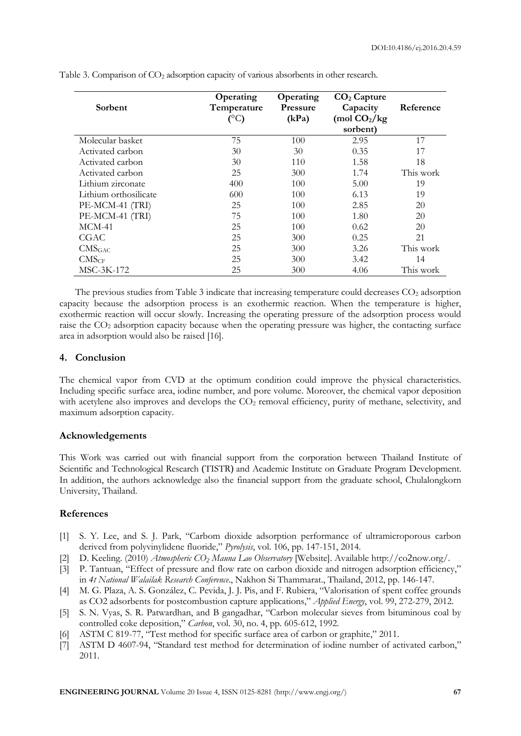| Sorbent               | Operating<br>Temperature<br>$(^{\circ}C)$ | Operating<br><b>Pressure</b><br>(kPa) | $CO2$ Capture<br>Capacity<br>(mol $CO2/kg$<br>sorbent) | Reference |
|-----------------------|-------------------------------------------|---------------------------------------|--------------------------------------------------------|-----------|
| Molecular basket      | 75                                        | 100                                   | 2.95                                                   | 17        |
| Activated carbon      | 30                                        | 30                                    | 0.35                                                   | 17        |
| Activated carbon      | 30                                        | 110                                   | 1.58                                                   | 18        |
| Activated carbon      | 25                                        | 300                                   | 1.74                                                   | This work |
| Lithium zirconate     | 400                                       | 100                                   | 5.00                                                   | 19        |
| Lithium orthosilicate | 600                                       | 100                                   | 6.13                                                   | 19        |
| PE-MCM-41 (TRI)       | 25                                        | 100                                   | 2.85                                                   | 20        |
| PE-MCM-41 (TRI)       | 75                                        | 100                                   | 1.80                                                   | 20        |
| $MCM-41$              | 25                                        | 100                                   | 0.62                                                   | 20        |
| CGAC                  | 25                                        | 300                                   | 0.25                                                   | 21        |
| CMS <sub>GAC</sub>    | 25                                        | 300                                   | 3.26                                                   | This work |
| CMS <sub>CF</sub>     | 25                                        | 300                                   | 3.42                                                   | 14        |
| MSC-3K-172            | 25                                        | 300                                   | 4.06                                                   | This work |

Table 3. Comparison of CO2 adsorption capacity of various absorbents in other research.

The previous studies from Table 3 indicate that increasing temperature could decreases CO<sub>2</sub> adsorption capacity because the adsorption process is an exothermic reaction. When the temperature is higher, exothermic reaction will occur slowly. Increasing the operating pressure of the adsorption process would raise the CO<sub>2</sub> adsorption capacity because when the operating pressure was higher, the contacting surface area in adsorption would also be raised [16].

## **4. Conclusion**

The chemical vapor from CVD at the optimum condition could improve the physical characteristics. Including specific surface area, iodine number, and pore volume. Moreover, the chemical vapor deposition with acetylene also improves and develops the  $CO<sub>2</sub>$  removal efficiency, purity of methane, selectivity, and maximum adsorption capacity.

## **Acknowledgements**

This Work was carried out with financial support from the corporation between Thailand Institute of Scientific and Technological Research (TISTR) and Academic Institute on Graduate Program Development. In addition, the authors acknowledge also the financial support from the graduate school, Chulalongkorn University, Thailand.

## **References**

- [1] S. Y. Lee, and S. J. Park, "Carbom dioxide adsorption performance of ultramicroporous carbon derived from polyvinylidene fluoride," *Pyrolysis*, vol. 106, pp. 147-151, 2014.
- [2] D. Keeling. (2010) *Atmospheric CO<sup>2</sup> Mauna Lao Observatory* [Website]. Available http://co2now.org/.
- [3] P. Tantuan, "Effect of pressure and flow rate on carbon dioxide and nitrogen adsorption efficiency," in *4t National Walailak Research Conference*., Nakhon Si Thammarat., Thailand, 2012, pp. 146-147.
- [4] M. G. Plaza, A. S. González, C. Pevida, J. J. Pis, and F. Rubiera, "Valorisation of spent coffee grounds as CO2 adsorbents for postcombustion capture applications," *Applied Energy*, vol. 99, 272-279, 2012.
- [5] S. N. Vyas, S. R. Patwardhan, and B gangadhar, "Carbon molecular sieves from bituminous coal by controlled coke deposition," *Carbon*, vol. 30, no. 4, pp. 605-612, 1992.
- [6] ASTM C 819-77, "Test method for specific surface area of carbon or graphite," 2011.
- [7] ASTM D 4607-94, "Standard test method for determination of iodine number of activated carbon," 2011.